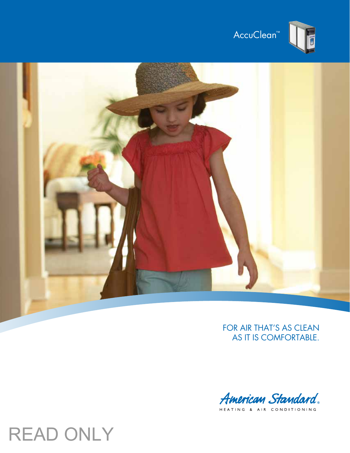





## FOR AIR THAT'S AS CLEAN as it is comfortable.



. .<br>HEATING & AIR CONDITIONING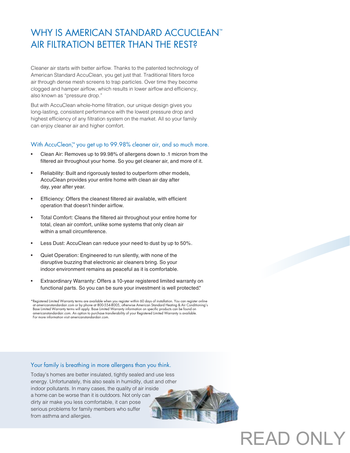## WHY IS AMERICAN STANDARD ACCUCLEAN™ AIR FILTRATION BETTER THAN THE REST?

Cleaner air starts with better airflow. Thanks to the patented technology of American Standard AccuClean, you get just that. Traditional filters force air through dense mesh screens to trap particles. Over time they become clogged and hamper airflow, which results in lower airflow and efficiency, also known as "pressure drop."

But with AccuClean whole-home filtration, our unique design gives you long-lasting, consistent performance with the lowest pressure drop and highest efficiency of any filtration system on the market. All so your family can enjoy cleaner air and higher comfort.

### With AccuClean<sup>™</sup> you get up to 99.98% cleaner air, and so much more.

- Clean Air: Removes up to 99.98% of allergens down to .1 micron from the filtered air throughout your home. So you get cleaner air, and more of it.
- Reliability: Built and rigorously tested to outperform other models, AccuClean provides your entire home with clean air day after day, year after year.
- Efficiency: Offers the cleanest filtered air available, with efficient operation that doesn't hinder airflow.
- Total Comfort: Cleans the filtered air throughout your entire home for total, clean air comfort, unlike some systems that only clean air within a small circumference.
- Less Dust: AccuClean can reduce your need to dust by up to 50%.
- Quiet Operation: Engineered to run silently, with none of the disruptive buzzing that electronic air cleaners bring. So your indoor environment remains as peaceful as it is comfortable.
- Extraordinary Warranty: Offers a 10-year registered limited warranty on functional parts. So you can be sure your investment is well protected.\*

\*Registered Limited Warranty terms are available when you register within 60 days of installation. You can register online<br>^ at americanstandardair.com or by phone at 800-554-8005, otherwise American Standard Heating & Air Base Limited Warranty terms will apply. Base Limited Warranty information on specific products can be found on americanstandardair.com. An option to purchase transferability of your Registered Limited Warranty is available. For more information visit americanstandardair.com.

### Your family is breathing in more allergens than you think.

Today's homes are better insulated, tightly sealed and use less energy. Unfortunately, this also seals in humidity, dust and other indoor pollutants. In many cases, the quality of air inside a home can be worse than it is outdoors. Not only can dirty air make you less comfortable, it can pose serious problems for family members who suffer from asthma and allergies.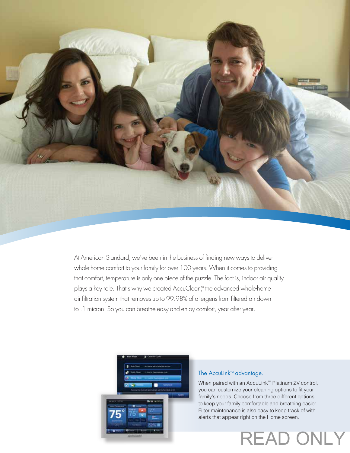

At American Standard, we've been in the business of finding new ways to deliver whole-home comfort to your family for over 100 years. When it comes to providing that comfort, temperature is only one piece of the puzzle. The fact is, indoor air quality plays a key role. That's why we created AccuClean™ the advanced whole-home air filtration system that removes up to 99.98% of allergens from filtered air down to .1 micron. So you can breathe easy and enjoy comfort, year after year.



## The AccuLink™ advantage.

When paired with an AccuLink™ Platinum ZV control, you can customize your cleaning options to fit your family's needs. Choose from three different options to keep your family comfortable and breathing easier. Filter maintenance is also easy to keep track of with alerts that appear right on the Home screen.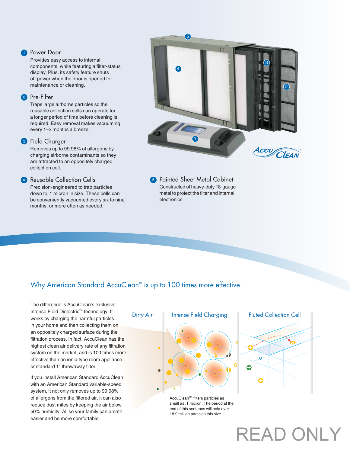#### **1** Power Door

Provides easy access to internal components, while featuring a filter-status display. Plus, its safety feature shuts off power when the door is opened for maintenance or cleaning.

### 2 Pre-Filter

Traps large airborne particles so the reusable collection cells can operate for a longer period of time before cleaning is required. Easy removal makes vacuuming every 1–2 months a breeze.

### <sup>3</sup> Field Charger

Removes up to 99.98% of allergens by charging airborne contaminants so they are attracted to an oppositely charged collection cell.

#### **4** Reusable Collection Cells

Precision-engineered to trap particles down to .1 micron in size. These cells can be conveniently vacuumed every six to nine months, or more often as needed.



**5** Painted Sheet Metal Cabinet Constructed of heavy-duty 18-gauge metal to protect the filter and internal electronics.

## Why American Standard AccuClean™ is up to 100 times more effective.

The difference is AccuClean's exclusive Intense Field Dielectric™ technology. It works by charging the harmful particles in your home and then collecting them on an oppositely charged surface during the filtration process. In fact, AccuClean has the highest clean air delivery rate of any filtration system on the market, and is 100 times more effective than an ionic-type room appliance or standard 1" throwaway filter.

If you install American Standard AccuClean with an American Standard variable-speed system, it not only removes up to 99.98% of allergens from the filtered air, it can also reduce dust mites by keeping the air below 50% humidity. All so your family can breath easier and be more comfortable.

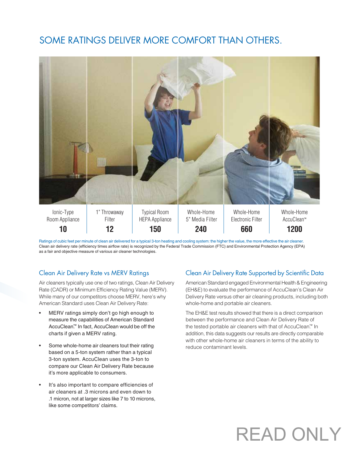## Some ratings deliver more comfort than others.



Ratings of cubic feet per minute of clean air delivered for a typical 3-ton heating and cooling system: the higher the value, the more effective the air cleaner. Clean air delivery rate (efficiency times airflow rate) is recognized by the Federal Trade Commission (FTC) and Environmental Protection Agency (EPA) as a fair and objective measure of various air cleaner technologies.

### Clean Air Delivery Rate vs MERV Ratings

Air cleaners typically use one of two ratings, Clean Air Delivery Rate (CADR) or Minimum Efficiency Rating Value (MERV). While many of our competitors choose MERV, here's why American Standard uses Clean Air Delivery Rate:

- MERV ratings simply don't go high enough to measure the capabilities of American Standard AccuClean.™ In fact, AccuClean would be off the charts if given a MERV rating.
- Some whole-home air cleaners tout their rating based on a 5-ton system rather than a typical 3-ton system. AccuClean uses the 3-ton to compare our Clean Air Delivery Rate because it's more applicable to consumers.
- It's also important to compare efficiencies of air cleaners at .3 microns and even down to .1 micron, not at larger sizes like 7 to 10 microns, like some competitors' claims.

## Clean Air Delivery Rate Supported by Scientific Data

American Standard engaged Environmental Health & Engineering (EH&E) to evaluate the performance of AccuClean's Clean Air Delivery Rate versus other air cleaning products, including both whole-home and portable air cleaners.

The EH&E test results showed that there is a direct comparison between the performance and Clean Air Delivery Rate of the tested portable air cleaners with that of AccuClean.™ In addition, this data suggests our results are directly comparable with other whole-home air cleaners in terms of the ability to reduce contaminant levels.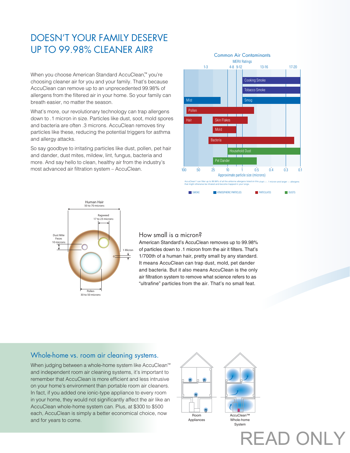## Doesn't your family deserve up to 99.98% cleaner air?

When you choose American Standard AccuClean™ you're choosing cleaner air for you and your family. That's because AccuClean can remove up to an unprecedented 99.98% of allergens from the filtered air in your home. So your family can breath easier, no matter the season.

What's more, our revolutionary technology can trap allergens down to .1 micron in size. Particles like dust, soot, mold spores and bacteria are often .3 microns. AccuClean removes tiny particles like these, reducing the potential triggers for asthma and allergy attacks.

So say goodbye to irritating particles like dust, pollen, pet hair and dander, dust mites, mildew, lint, fungus, bacteria and more. And say hello to clean, healthy air from the industry's most advanced air filtration system – AccuClean.





### How small is a micron?

American Standard's AccuClean removes up to 99.98% of particles down to .1 micron from the air it filters. That's 1/700th of a human hair, pretty small by any standard. It means AccuClean can trap dust, mold, pet dander and bacteria. But it also means AccuClean is the only air filtration system to remove what science refers to as "ultrafine" particles from the air. That's no small feat.

## Whole-home vs. room air cleaning systems.

When judging between a whole-home system like AccuClean™ and independent room air cleaning systems, it's important to remember that AccuClean is more efficient and less intrusive on your home's environment than portable room air cleaners. In fact, if you added one ionic-type appliance to every room in your home, they would not significantly affect the air like an AccuClean whole-home system can. Plus, at \$300 to \$500 each, AccuClean is simply a better economical choice, now and for years to come.



READ ON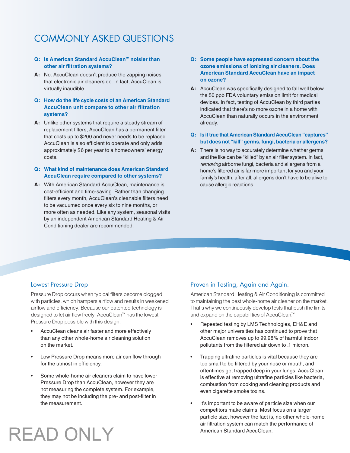## COMMONIY ASKED QUESTIONS

### **Q: Is American Standard AccuClean™ noisier than other air filtration systems?**

- **A:** No. AccuClean doesn't produce the zapping noises that electronic air cleaners do. In fact, AccuClean is virtually inaudible.
- **Q: How do the life cycle costs of an American Standard AccuClean unit compare to other air filtration systems?**
- **A:** Unlike other systems that require a steady stream of replacement filters, AccuClean has a permanent filter that costs up to \$200 and never needs to be replaced. AccuClean is also efficient to operate and only adds approximately \$6 per year to a homeowners' energy costs.

### **Q: What kind of maintenance does American Standard AccuClean require compared to other systems?**

**A:** With American Standard AccuClean, maintenance is cost-efficient and time-saving. Rather than changing filters every month, AccuClean's cleanable filters need to be vacuumed once every six to nine months, or more often as needed. Like any system, seasonal visits by an independent American Standard Heating & Air Conditioning dealer are recommended.

- **Q: Some people have expressed concern about the ozone emissions of ionizing air cleaners. Does American Standard AccuClean have an impact on ozone?**
- **A:** AccuClean was specifically designed to fall well below the 50 ppb FDA voluntary emission limit for medical devices. In fact, testing of AccuClean by third parties indicated that there's no more ozone in a home with AccuClean than naturally occurs in the environment already.
- **Q: Is it true that American Standard AccuClean "captures" but does not "kill" germs, fungi, bacteria or allergens?**
- **A:** There is no way to accurately determine whether germs and the like can be "killed" by an air filter system. In fact, *removing* airborne fungi, bacteria and allergens from a home's filtered air is far more important for you and your family's health, after all, allergens don't have to be alive to cause allergic reactions.

## Lowest Pressure Drop

Pressure Drop occurs when typical filters become clogged with particles, which hampers airflow and results in weakened airflow and efficiency. Because our patented technology is designed to let air flow freely, AccuClean™ has the lowest Pressure Drop possible with this design.

- AccuClean cleans air faster and more effectively than any other whole-home air cleaning solution on the market.
- Low Pressure Drop means more air can flow through for the utmost in efficiency.
- Some whole-home air cleaners claim to have lower Pressure Drop than AccuClean, however they are not measuring the complete system. For example, they may not be including the pre- and post-filter in the measurement.

## Proven in Testing, Again and Again.

American Standard Heating & Air Conditioning is committed to maintaining the best whole-home air cleaner on the market. That's why we continuously develop tests that push the limits and expand on the capabilities of AccuClean.™

- Repeated testing by LMS Technologies, EH&E and other major universities has continued to prove that AccuClean removes up to 99.98% of harmful indoor pollutants from the filtered air down to .1 micron.
- Trapping ultrafine particles is vital because they are too small to be filtered by your nose or mouth, and oftentimes get trapped deep in your lungs. AccuClean is effective at removing ultrafine particles like bacteria, combustion from cooking and cleaning products and even cigarette smoke toxins.
- It's important to be aware of particle size when our competitors make claims. Most focus on a larger particle size, however the fact is, no other whole-home air filtration system can match the performance of American Standard AccuClean.